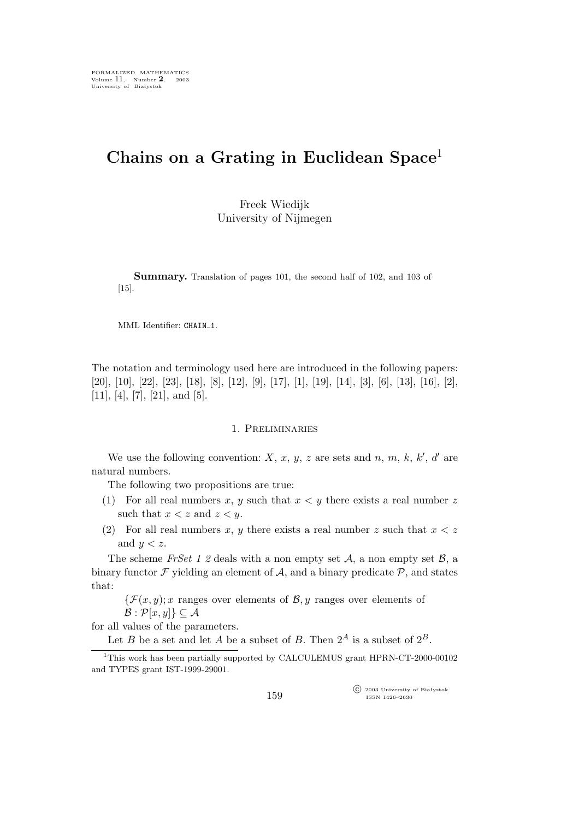# **Chains on a Grating in Euclidean Space**<sup>1</sup>

Freek Wiedijk University of Nijmegen

**Summary.** Translation of pages 101, the second half of 102, and 103 of [15].

MML Identifier: CHAIN\_1.

The notation and terminology used here are introduced in the following papers: [20], [10], [22], [23], [18], [8], [12], [9], [17], [1], [19], [14], [3], [6], [13], [16], [2],  $[11], [4], [7], [21], \text{ and } [5].$ 

#### 1. Preliminaries

We use the following convention:  $X, x, y, z$  are sets and  $n, m, k, k', d'$  are natural numbers.

The following two propositions are true:

- (1) For all real numbers x, y such that  $x < y$  there exists a real number z such that  $x < z$  and  $z < y$ .
- (2) For all real numbers x, y there exists a real number z such that  $x < z$ and  $y < z$ .

The scheme *FrSet 1 2* deals with a non empty set *A*, a non empty set *B*, a binary functor  $\mathcal F$  yielding an element of  $\mathcal A$ , and a binary predicate  $\mathcal P$ , and states that:

 $\{\mathcal{F}(x,y); x$  ranges over elements of *B*, *y* ranges over elements of  $\mathcal{B}: \mathcal{P}[x,y] \} \subseteq \mathcal{A}$ 

for all values of the parameters.

Let B be a set and let A be a subset of B. Then  $2^A$  is a subset of  $2^B$ .

°c 2003 University of Białystok ISSN 1426–2630

<sup>&</sup>lt;sup>1</sup>This work has been partially supported by CALCULEMUS grant HPRN-CT-2000-00102 and TYPES grant IST-1999-29001.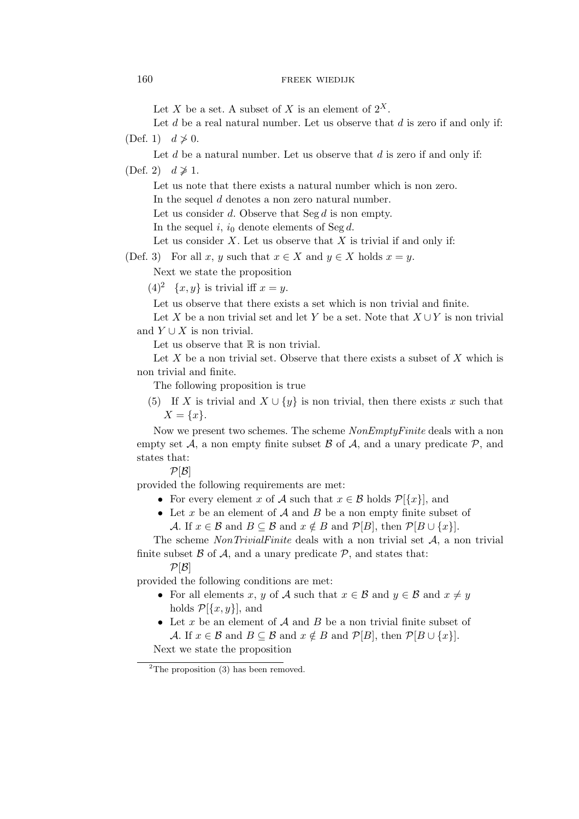Let X be a set. A subset of X is an element of  $2^X$ .

Let  $d$  be a real natural number. Let us observe that  $d$  is zero if and only if: (Def. 1)  $d \not\geq 0$ .

Let  $d$  be a natural number. Let us observe that  $d$  is zero if and only if:

 $(Def. 2)$   $d \not\geq 1$ .

Let us note that there exists a natural number which is non zero.

In the sequel d denotes a non zero natural number.

Let us consider d. Observe that  $\text{Seg } d$  is non empty.

In the sequel i,  $i_0$  denote elements of Seg d.

Let us consider  $X$ . Let us observe that  $X$  is trivial if and only if:

(Def. 3) For all x, y such that  $x \in X$  and  $y \in X$  holds  $x = y$ .

Next we state the proposition

 $(4)^2$  {x, y} is trivial iff  $x = y$ .

Let us observe that there exists a set which is non trivial and finite.

Let X be a non trivial set and let Y be a set. Note that X *∪*Y is non trivial and  $Y \cup X$  is non trivial.

Let us observe that  $\mathbb R$  is non trivial.

Let X be a non trivial set. Observe that there exists a subset of X which is non trivial and finite.

The following proposition is true

(5) If X is trivial and  $X \cup \{y\}$  is non trivial, then there exists x such that  $X = \{x\}.$ 

Now we present two schemes. The scheme *NonEmptyFinite* deals with a non empty set  $A$ , a non empty finite subset  $B$  of  $A$ , and a unary predicate  $P$ , and states that:

 $P[\mathcal{B}]$ 

provided the following requirements are met:

- For every element x of *A* such that  $x \in \mathcal{B}$  holds  $\mathcal{P}[\{x\}]$ , and
- *•* Let x be an element of *A* and B be a non empty finite subset of *A*. If  $x \in \mathcal{B}$  and  $B \subseteq \mathcal{B}$  and  $x \notin B$  and  $\mathcal{P}[B]$ , then  $\mathcal{P}[B \cup \{x\}]$ .

The scheme *NonTrivialFinite* deals with a non trivial set *A*, a non trivial finite subset  $\beta$  of  $\mathcal{A}$ , and a unary predicate  $\mathcal{P}$ , and states that:

 $P[\mathcal{B}]$ 

provided the following conditions are met:

- For all elements x, y of *A* such that  $x \in \mathcal{B}$  and  $y \in \mathcal{B}$  and  $x \neq y$ holds  $\mathcal{P}[\{x,y\}],$  and
- *•* Let x be an element of *A* and B be a non trivial finite subset of *A*. If  $x \in \mathcal{B}$  and  $B \subseteq \mathcal{B}$  and  $x \notin B$  and  $\mathcal{P}[B]$ , then  $\mathcal{P}[B \cup \{x\}]$ .

Next we state the proposition

<sup>&</sup>lt;sup>2</sup>The proposition  $(3)$  has been removed.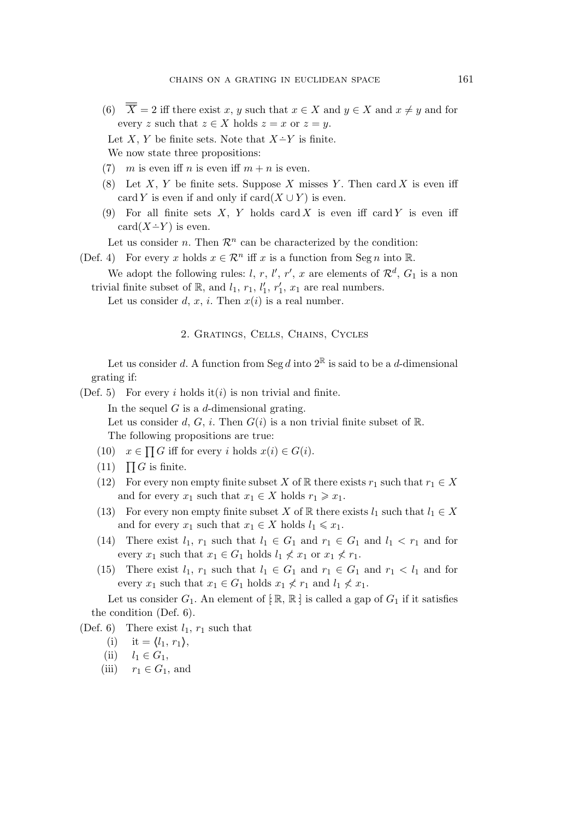(6)  $\overline{\overline{X}} = 2$  iff there exist x, y such that  $x \in X$  and  $y \in X$  and  $x \neq y$  and for every z such that  $z \in X$  holds  $z = x$  or  $z = y$ .

Let  $X, Y$  be finite sets. Note that  $X - Y$  is finite. We now state three propositions:

- (7) m is even if n is even if  $m + n$  is even.
- (8) Let X, Y be finite sets. Suppose X misses Y. Then card X is even iff card Y is even if and only if  $card(X \cup Y)$  is even.
- (9) For all finite sets X, Y holds card X is even iff card Y is even iff  $card(X - Y)$  is even.

Let us consider *n*. Then  $\mathcal{R}^n$  can be characterized by the condition:

- (Def. 4) For every x holds  $x \in \mathcal{R}^n$  iff x is a function from Seg n into R.
	- We adopt the following rules: *l*, *r*, *l'*, *r'*, *x* are elements of  $\mathcal{R}^d$ ,  $G_1$  is a non trivial finite subset of  $\mathbb{R}$ , and  $l_1$ ,  $r_1$ ,  $l'_1$  $\frac{1}{1}, r'_1$  $x_1$ ,  $x_1$  are real numbers.

Let us consider d, x, i. Then  $x(i)$  is a real number.

# 2. Gratings, Cells, Chains, Cycles

Let us consider d. A function from Seg d into  $2^{\mathbb{R}}$  is said to be a d-dimensional grating if:

(Def. 5) For every i holds it (i) is non trivial and finite.

In the sequel  $G$  is a d-dimensional grating.

Let us consider d, G, i. Then  $G(i)$  is a non trivial finite subset of R. The following propositions are true:

- (10)  $x \in \prod G$  iff for every i holds  $x(i) \in G(i)$ .
- $(11)$   $\prod G$  is finite.
- (12) For every non empty finite subset X of R there exists  $r_1$  such that  $r_1 \in X$ and for every  $x_1$  such that  $x_1 \in X$  holds  $r_1 \geq x_1$ .
- (13) For every non empty finite subset X of R there exists  $l_1$  such that  $l_1 \in X$ and for every  $x_1$  such that  $x_1 \in X$  holds  $l_1 \leq x_1$ .
- (14) There exist  $l_1$ ,  $r_1$  such that  $l_1 \in G_1$  and  $r_1 \in G_1$  and  $l_1 < r_1$  and for every  $x_1$  such that  $x_1 \in G_1$  holds  $l_1 \nless x_1$  or  $x_1 \nless r_1$ .
- (15) There exist  $l_1$ ,  $r_1$  such that  $l_1 \in G_1$  and  $r_1 \in G_1$  and  $r_1 < l_1$  and for every  $x_1$  such that  $x_1 \in G_1$  holds  $x_1 \nless r_1$  and  $l_1 \nless x_1$ .

Let us consider  $G_1$ . An element of  $[\mathbb{R}, \mathbb{R}]$  is called a gap of  $G_1$  if it satisfies the condition (Def. 6).

(Def. 6) There exist  $l_1$ ,  $r_1$  such that

- (i) it =  $\langle l_1, r_1 \rangle$ ,
- (ii)  $l_1 \in G_1$ ,
- (iii)  $r_1 \in G_1$ , and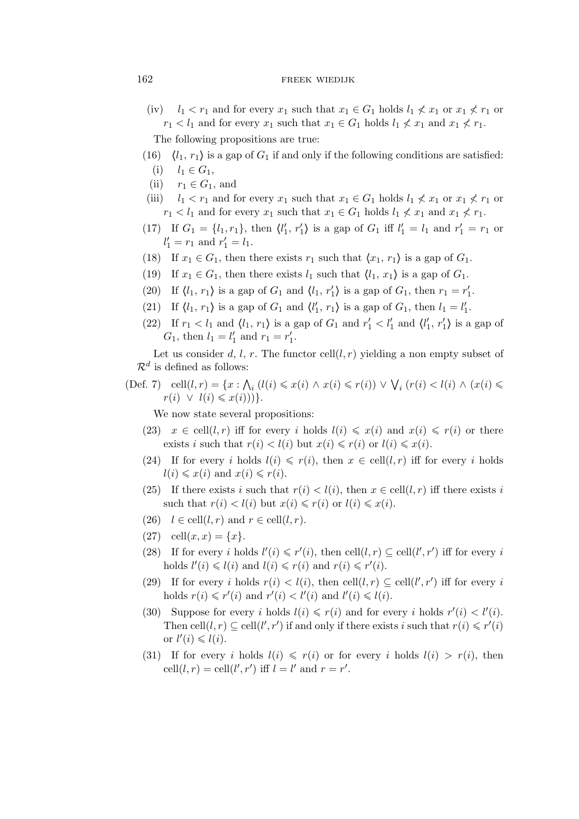- (iv)  $l_1 < r_1$  and for every  $x_1$  such that  $x_1 \in G_1$  holds  $l_1 \nless x_1$  or  $x_1 \nless x_1$  or  $r_1 < l_1$  and for every  $x_1$  such that  $x_1 \in G_1$  holds  $l_1 \nless x_1$  and  $x_1 \nless x_1$ . The following propositions are true:
- (16)  $\langle l_1, r_1 \rangle$  is a gap of  $G_1$  if and only if the following conditions are satisfied:  $(i)$   $l_1$  ∈  $G_1$ ,
- (ii)  $r_1 \in G_1$ , and
- (iii)  $l_1 < r_1$  and for every  $x_1$  such that  $x_1 \in G_1$  holds  $l_1 \nless x_1$  or  $x_1 \nless x_1$  or  $r_1 < l_1$  and for every  $x_1$  such that  $x_1 \in G_1$  holds  $l_1 \nless x_1$  and  $x_1 \nless x_1$ .
- (17) If  $G_1 = \{l_1, r_1\}$ , then  $\langle l'_1 \rangle$  $\langle f_1, r'_1 \rangle$  is a gap of  $G_1$  iff  $l'_1 = l_1$  and  $r'_1 = r_1$  or  $l'_1 = r_1$  and  $r'_1 = l_1$ .
- (18) If  $x_1 \in G_1$ , then there exists  $r_1$  such that  $\langle x_1, r_1 \rangle$  is a gap of  $G_1$ .
- (19) If  $x_1 \in G_1$ , then there exists  $l_1$  such that  $\langle l_1, x_1 \rangle$  is a gap of  $G_1$ .
- (20) If  $\langle l_1, r_1 \rangle$  is a gap of  $G_1$  and  $\langle l_1, r'_1 \rangle$  is a gap of  $G_1$ , then  $r_1 = r'_1$  $\frac{1}{1}$ .
- (21) If  $\langle l_1, r_1 \rangle$  is a gap of  $G_1$  and  $\langle l'_1 \rangle$  $\langle f_1, r_1 \rangle$  is a gap of  $G_1$ , then  $l_1 = l'_1$  $\frac{1}{1}$ .
- (22) If  $r_1 < l_1$  and  $\langle l_1, r_1 \rangle$  is a gap of  $G_1$  and  $r'_1 < l'_1$  and  $\langle l'_1 \rangle$  $\langle \, \, r'_1 \rangle$  is a gap of  $G_1$ , then  $l_1 = l'_1$  $r'_1$  and  $r_1 = r'_1$  $\frac{1}{1}$ .

Let us consider d, l, r. The functor cell $(l, r)$  yielding a non empty subset of  $\mathcal{R}^d$  is defined as follows:

 $(\text{Def. 7})$  cell $(l, r) = \{x : \bigwedge_i (l(i) \leq x(i) \land x(i) \leq r(i)) \lor \bigvee_i (r(i) < l(i) \land (x(i) \leq r(i))\}$  $r(i) \vee l(i) \leqslant x(i))$ 

We now state several propositions:

- (23)  $x \in \text{cell}(l,r)$  iff for every i holds  $l(i) \leqslant x(i)$  and  $x(i) \leqslant r(i)$  or there exists i such that  $r(i) < l(i)$  but  $x(i) \leq r(i)$  or  $l(i) \leq x(i)$ .
- (24) If for every i holds  $l(i) \leq r(i)$ , then  $x \in \text{cell}(l, r)$  iff for every i holds  $l(i) \leq x(i)$  and  $x(i) \leq r(i)$ .
- (25) If there exists i such that  $r(i) < l(i)$ , then  $x \in \text{cell}(l,r)$  iff there exists i such that  $r(i) < l(i)$  but  $x(i) \leq r(i)$  or  $l(i) \leq x(i)$ .
- (26)  $l \in \text{cell}(l, r)$  and  $r \in \text{cell}(l, r)$ .
- (27) cell $(x, x) = \{x\}.$
- (28) If for every i holds  $l'(i) \leq r'(i)$ , then cell $(l, r) \subseteq \text{cell}(l', r')$  iff for every i holds  $l'(i) \leq l(i)$  and  $l(i) \leq r(i)$  and  $r(i) \leq r'(i)$ .
- (29) If for every i holds  $r(i) < l(i)$ , then cell $(l, r) \subseteq$  cell $(l', r')$  iff for every i holds  $r(i) \leq r'(i)$  and  $r'(i) < l'(i)$  and  $l'(i) \leq l(i)$ .
- (30) Suppose for every i holds  $l(i) \leq r(i)$  and for every i holds  $r'(i) < l'(i)$ . Then cell $(l, r) \subseteq$  cell $(l', r')$  if and only if there exists i such that  $r(i) \leq r'(i)$ or  $l'(i) \leqslant l(i)$ .
- (31) If for every i holds  $l(i) \leq r(i)$  or for every i holds  $l(i) > r(i)$ , then  $\text{cell}(l, r) = \text{cell}(l', r') \text{ iff } l = l' \text{ and } r = r'.$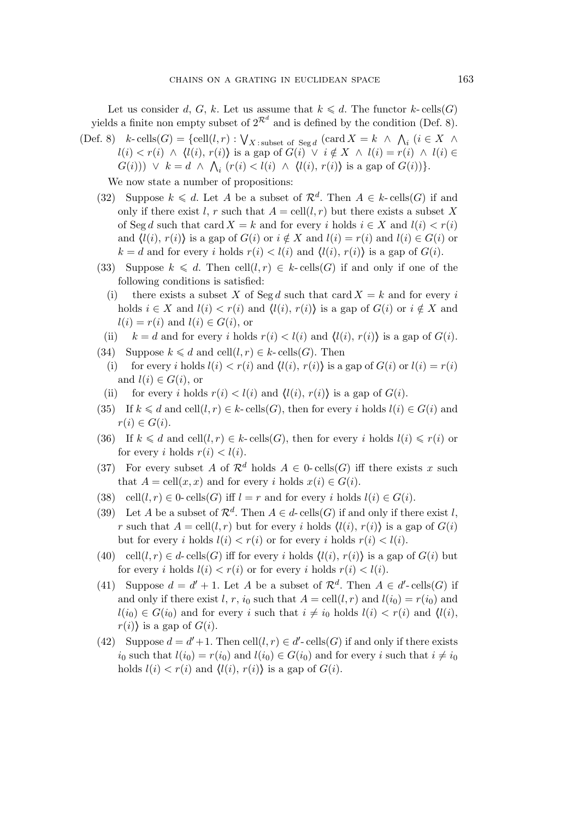Let us consider d, G, k. Let us assume that  $k \le d$ . The functor k-cells(G) yields a finite non empty subset of  $2^{\mathcal{R}^d}$  and is defined by the condition (Def. 8).

(Def. 8)  $k$ -cells( $G$ ) = {cell $(l, r)$  :  $\bigvee_{X \text{ : subset of } Seg d} (card X = k \land \bigwedge_i (i \in X \land \bigwedge_i n_i)$  $l(i) < r(i)$  ∧  $\langle l(i), r(i) \rangle$  is a gap of  $G(i) \check{\vee} i \notin X$  ∧  $l(i) = r(i)$  ∧  $l(i) \in Y$  $G(i)$ ))  $\vee$   $k = d \wedge \bigwedge_i (r(i) < l(i) \wedge \langle l(i), r(i) \rangle)$  is a gap of  $G(i)$ )<sup>2</sup>.

We now state a number of propositions:

- (32) Suppose  $k \leq d$ . Let A be a subset of  $\mathcal{R}^d$ . Then  $A \in k$ -cells(G) if and only if there exist l, r such that  $A = \text{cell}(l, r)$  but there exists a subset X of Seg d such that card  $X = k$  and for every i holds  $i \in X$  and  $l(i) < r(i)$ and  $\langle l(i), r(i) \rangle$  is a gap of  $G(i)$  or  $i \notin X$  and  $l(i) = r(i)$  and  $l(i) \in G(i)$  or  $k = d$  and for every i holds  $r(i) < l(i)$  and  $\langle l(i), r(i) \rangle$  is a gap of  $G(i)$ .
- (33) Suppose  $k \le d$ . Then cell $(l, r) \in k$ -cells $(G)$  if and only if one of the following conditions is satisfied:
	- (i) there exists a subset X of Seg d such that card  $X = k$  and for every i holds  $i \in X$  and  $l(i) < r(i)$  and  $\langle l(i), r(i) \rangle$  is a gap of  $G(i)$  or  $i \notin X$  and  $l(i) = r(i)$  and  $l(i) \in G(i)$ , or
- (ii)  $k = d$  and for every i holds  $r(i) < l(i)$  and  $\langle l(i), r(i) \rangle$  is a gap of  $G(i)$ .
- (34) Suppose  $k \le d$  and cell $(l, r) \in k$  cells $(G)$ . Then
	- (i) for every i holds  $l(i) < r(i)$  and  $\langle l(i), r(i) \rangle$  is a gap of  $G(i)$  or  $l(i) = r(i)$ and  $l(i) \in G(i)$ , or
- (ii) for every i holds  $r(i) < l(i)$  and  $\langle l(i), r(i) \rangle$  is a gap of  $G(i)$ .
- (35) If  $k \le d$  and cell $(l, r) \in k$  cells $(G)$ , then for every i holds  $l(i) \in G(i)$  and  $r(i) \in G(i)$ .
- (36) If  $k \leq d$  and cell $(l, r) \in k$  cells $(G)$ , then for every i holds  $l(i) \leq r(i)$  or for every i holds  $r(i) < l(i)$ .
- (37) For every subset A of  $\mathcal{R}^d$  holds  $A \in 0$ -cells(G) iff there exists x such that  $A = \text{cell}(x, x)$  and for every i holds  $x(i) \in G(i)$ .
- (38) cell $(l, r) \in 0$  cells $(G)$  iff  $l = r$  and for every i holds  $l(i) \in G(i)$ .
- (39) Let A be a subset of  $\mathcal{R}^d$ . Then  $A \in d$ -cells(G) if and only if there exist l, r such that  $A = \text{cell}(l, r)$  but for every i holds  $\langle l(i), r(i) \rangle$  is a gap of  $G(i)$ but for every i holds  $l(i) < r(i)$  or for every i holds  $r(i) < l(i)$ .
- (40) cell $(l, r) \in d$  cells $(G)$  iff for every i holds  $\langle l(i), r(i) \rangle$  is a gap of  $G(i)$  but for every i holds  $l(i) < r(i)$  or for every i holds  $r(i) < l(i)$ .
- (41) Suppose  $d = d' + 1$ . Let A be a subset of  $\mathcal{R}^d$ . Then  $A \in d'$ -cells(G) if and only if there exist l, r,  $i_0$  such that  $A = \text{cell}(l, r)$  and  $l(i_0) = r(i_0)$  and  $l(i_0) \in G(i_0)$  and for every i such that  $i \neq i_0$  holds  $l(i) < r(i)$  and  $l(i)$ ,  $r(i)$  is a gap of  $G(i)$ .
- (42) Suppose  $d = d' + 1$ . Then cell $(l, r) \in d'$ -cells $(G)$  if and only if there exists i<sub>0</sub> such that  $l(i_0) = r(i_0)$  and  $l(i_0) \in G(i_0)$  and for every i such that  $i \neq i_0$ holds  $l(i) < r(i)$  and  $\langle l(i), r(i) \rangle$  is a gap of  $G(i)$ .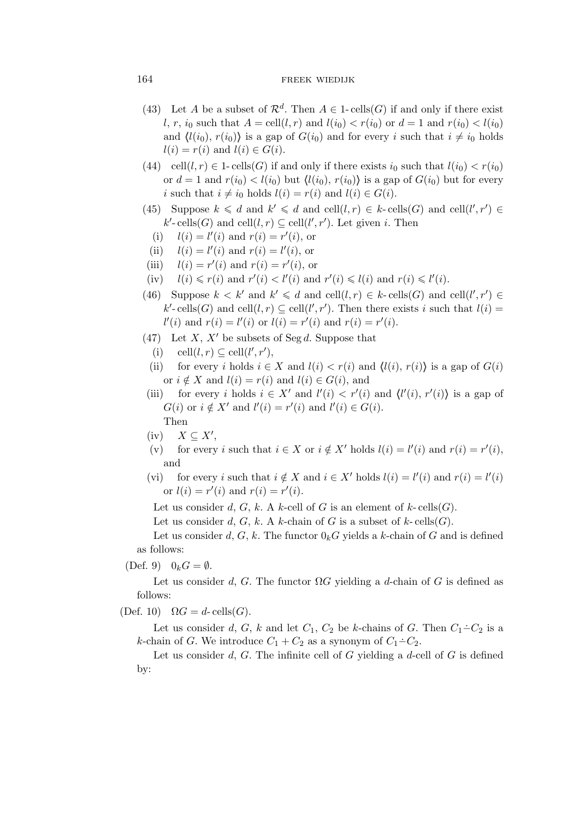- (43) Let A be a subset of  $\mathcal{R}^d$ . Then  $A \in 1$ -cells(G) if and only if there exist l, r,  $i_0$  such that  $A = \text{cell}(l, r)$  and  $l(i_0) < r(i_0)$  or  $d = 1$  and  $r(i_0) < l(i_0)$ and  $\langle l(i_0), r(i_0) \rangle$  is a gap of  $G(i_0)$  and for every i such that  $i \neq i_0$  holds  $l(i) = r(i)$  and  $l(i) \in G(i)$ .
- (44) cell $(l, r) \in 1$  cells $(G)$  if and only if there exists  $i_0$  such that  $l(i_0) < r(i_0)$ or  $d = 1$  and  $r(i_0) < l(i_0)$  but  $\langle l(i_0), r(i_0) \rangle$  is a gap of  $G(i_0)$  but for every i such that  $i \neq i_0$  holds  $l(i) = r(i)$  and  $l(i) \in G(i)$ .
- (45) Suppose  $k \leq d$  and  $k' \leq d$  and cell $(l, r) \in k$ -cells $(G)$  and cell $(l', r') \in$  $k'$ -cells(*G*) and cell $(l, r) \subseteq$ cell $(l', r')$ . Let given *i*. Then
	- (i)  $l(i) = l'(i)$  and  $r(i) = r'(i)$ , or
	- (ii)  $l(i) = l'(i)$  and  $r(i) = l'(i)$ , or
- (iii)  $l(i) = r'(i)$  and  $r(i) = r'(i)$ , or
- (iv)  $l(i) \leq r(i)$  and  $r'(i) < l'(i)$  and  $r'(i) \leq l(i)$  and  $r(i) \leq l'(i)$ .
- (46) Suppose  $k < k'$  and  $k' \le d$  and cell $(l, r) \in k$ -cells $(G)$  and cell $(l', r') \in$  $k'$ -cells(G) and cell $(l, r) \subseteq$ cell $(l', r')$ . Then there exists i such that  $l(i) =$  $l'(i)$  and  $r(i) = l'(i)$  or  $l(i) = r'(i)$  and  $r(i) = r'(i)$ .
- (47) Let X, X*′* be subsets of Seg d. Suppose that
	- (i) cell $(l, r) \subseteq$  cell $(l', r')$ ,
- (ii) for every i holds  $i \in X$  and  $l(i) < r(i)$  and  $\langle l(i), r(i) \rangle$  is a gap of  $G(i)$ or  $i \notin X$  and  $l(i) = r(i)$  and  $l(i) \in G(i)$ , and
- (iii) for every *i* holds  $i \in X'$  and  $l'(i) < r'(i)$  and  $\langle l'(i), r'(i) \rangle$  is a gap of  $G(i)$  or  $i \notin X'$  and  $l'(i) = r'(i)$  and  $l'(i) \in G(i)$ . Then
- (iv) X *⊆* X*′* ,
- (v) for every *i* such that  $i \in X$  or  $i \notin X'$  holds  $l(i) = l'(i)$  and  $r(i) = r'(i)$ , and
- (vi) for every *i* such that  $i \notin X$  and  $i \in X'$  holds  $l(i) = l'(i)$  and  $r(i) = l'(i)$ or  $l(i) = r'(i)$  and  $r(i) = r'(i)$ .

Let us consider d, G, k. A k-cell of G is an element of k-cells(G).

Let us consider d, G, k. A k-chain of G is a subset of k-cells(G).

Let us consider d, G, k. The functor  $0_k G$  yields a k-chain of G and is defined as follows:

 $(Def. 9)$   $0_kG = \emptyset$ .

Let us consider d, G. The functor  $\Omega G$  yielding a d-chain of G is defined as follows:

(Def. 10)  $\Omega G = d$ - cells(G).

Let us consider d, G, k and let  $C_1$ ,  $C_2$  be k-chains of G. Then  $C_1 \text{–} C_2$  is a k-chain of G. We introduce  $C_1 + C_2$  as a synonym of  $C_1 \div C_2$ .

Let us consider  $d, G$ . The infinite cell of  $G$  yielding a  $d$ -cell of  $G$  is defined by: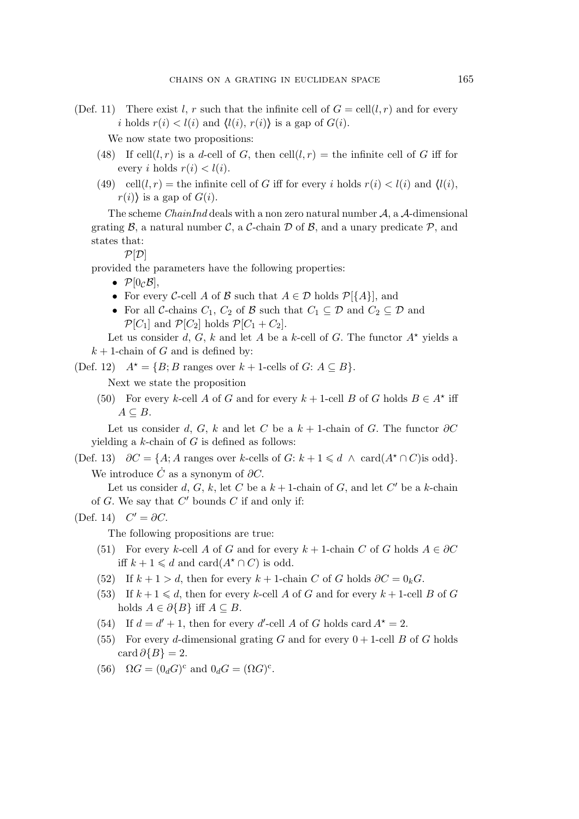(Def. 11) There exist l, r such that the infinite cell of  $G = \text{cell}(l, r)$  and for every i holds  $r(i) < l(i)$  and  $\langle l(i), r(i) \rangle$  is a gap of  $G(i)$ .

We now state two propositions:

- (48) If cell(l, r) is a d-cell of G, then cell(l, r) = the infinite cell of G iff for every i holds  $r(i) < l(i)$ .
- (49) cell $(l, r)$  = the infinite cell of G iff for every i holds  $r(i) < l(i)$  and  $l(i)$ ,  $r(i)$  is a gap of  $G(i)$ .

The scheme *ChainInd* deals with a non zero natural number *A*, a *A*-dimensional grating  $\beta$ , a natural number  $\mathcal{C}$ , a  $\mathcal{C}$ -chain  $\mathcal{D}$  of  $\beta$ , and a unary predicate  $\mathcal{P}$ , and states that:

 $P[D]$ 

provided the parameters have the following properties:

- $\mathcal{P}[0_{\mathcal{C}}\mathcal{B}],$
- For every *C*-cell *A* of *B* such that  $A \in \mathcal{D}$  holds  $\mathcal{P}[\{A\}]$ , and
- For all *C*-chains  $C_1$ ,  $C_2$  of *B* such that  $C_1 \subseteq \mathcal{D}$  and  $C_2 \subseteq \mathcal{D}$  and  $\mathcal{P}[C_1]$  and  $\mathcal{P}[C_2]$  holds  $\mathcal{P}[C_1 + C_2]$ .

Let us consider d, G, k and let A be a k-cell of G. The functor  $A^*$  yields a  $k + 1$ -chain of G and is defined by:

(Def. 12)  $A^* = \{B; B \text{ ranges over } k+1\text{-cells of } G: A \subseteq B\}.$ 

Next we state the proposition

(50) For every k-cell A of G and for every  $k + 1$ -cell B of G holds  $B \in A^*$  iff  $A \subseteq B$ .

Let us consider d, G, k and let C be a  $k + 1$ -chain of G. The functor  $\partial C$ yielding a  $k$ -chain of  $G$  is defined as follows:

(Def. 13)  $\partial C = \{A; A \text{ ranges over } k\text{-cells of } G: k+1 \leq d \land \text{card}(A^* \cap C) \text{is odd}\}.$ We introduce  $\dot{C}$  as a synonym of  $\partial C$ .

Let us consider  $d, G, k$ , let C be a  $k+1$ -chain of G, and let C' be a k-chain of G. We say that C *′* bounds C if and only if:

(Def. 14)  $C' = \partial C$ .

The following propositions are true:

- (51) For every k-cell A of G and for every  $k + 1$ -chain C of G holds  $A \in \partial C$ iff  $k + 1 \le d$  and card( $A^* \cap C$ ) is odd.
- (52) If  $k + 1 > d$ , then for every  $k + 1$ -chain C of G holds  $\partial C = 0_k G$ .
- (53) If  $k + 1 \le d$ , then for every k-cell A of G and for every  $k + 1$ -cell B of G holds  $A \in \partial \{B\}$  iff  $A \subseteq B$ .
- (54) If  $d = d' + 1$ , then for every d'-cell A of G holds card  $A^* = 2$ .
- (55) For every d-dimensional grating G and for every  $0 + 1$ -cell B of G holds  $\operatorname{card} \partial \{B\} = 2.$
- (56)  $\Omega G = (0_d G)^c$  and  $0_d G = (\Omega G)^c$ .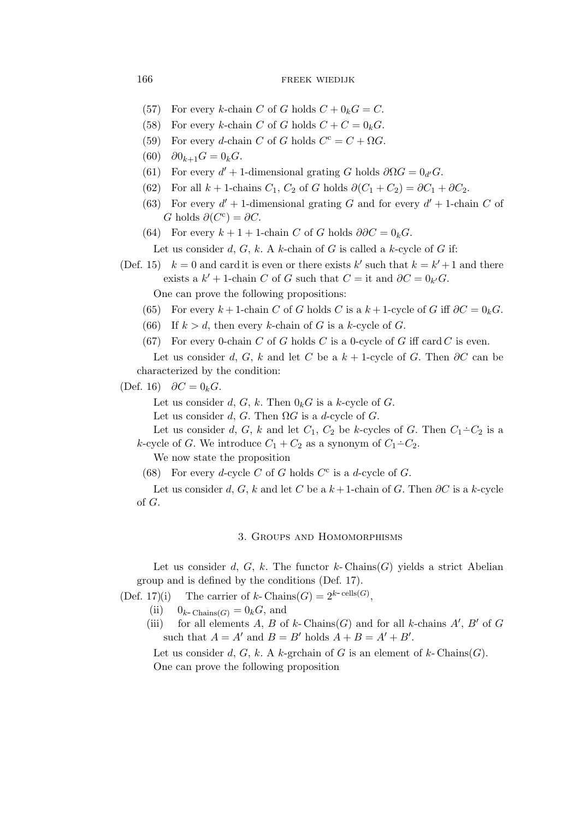- (57) For every k-chain C of G holds  $C + 0_kG = C$ .
- (58) For every k-chain C of G holds  $C + C = 0_k$ .
- (59) For every d-chain C of G holds  $C^c = C + \Omega G$ .
- (60)  $\partial 0_{k+1} G = 0_k G$ .
- (61) For every  $d' + 1$ -dimensional grating G holds  $\partial \Omega G = 0_{d'} G$ .
- (62) For all  $k + 1$ -chains  $C_1$ ,  $C_2$  of G holds  $\partial (C_1 + C_2) = \partial C_1 + \partial C_2$ .
- (63) For every  $d' + 1$ -dimensional grating G and for every  $d' + 1$ -chain C of G holds  $\partial(C^c) = \partial C$ .
- (64) For every  $k + 1 + 1$ -chain C of G holds  $\partial \partial C = 0_k G$ .

Let us consider d,  $G, k$ . A k-chain of G is called a k-cycle of G if:

- (Def. 15)  $k = 0$  and card it is even or there exists k' such that  $k = k' + 1$  and there exists a  $k' + 1$ -chain C of G such that  $C =$  it and  $\partial C = 0_{k'}$ . One can prove the following propositions:
	- (65) For every  $k+1$ -chain C of G holds C is a  $k+1$ -cycle of G iff  $\partial C = 0_k G$ .
	- (66) If  $k > d$ , then every k-chain of G is a k-cycle of G.
	- (67) For every 0-chain C of G holds C is a 0-cycle of G iff card C is even.

Let us consider d, G, k and let C be a  $k + 1$ -cycle of G. Then  $\partial C$  can be characterized by the condition:

(Def. 16)  $\partial C = 0_k G$ .

Let us consider d, G, k. Then  $0_k G$  is a k-cycle of G.

Let us consider  $d$ ,  $G$ . Then  $\Omega G$  is a  $d$ -cycle of  $G$ .

Let us consider d, G, k and let  $C_1$ ,  $C_2$  be k-cycles of G. Then  $C_1 \nightharpoonup C_2$  is a k-cycle of G. We introduce  $C_1 + C_2$  as a synonym of  $C_1 \dot{-} C_2$ .

We now state the proposition

(68) For every d-cycle C of G holds  $C^c$  is a d-cycle of G.

Let us consider d, G, k and let C be a  $k+1$ -chain of G. Then  $\partial C$  is a k-cycle of G.

#### 3. Groups and Homomorphisms

Let us consider d, G, k. The functor k-Chains(G) yields a strict Abelian group and is defined by the conditions (Def. 17).

(Def. 17)(i) The carrier of k-Chains $(G) = 2^{k-\text{cells}(G)}$ ,

- (ii)  $0_{k\text{-}Chains(G)} = 0_kG$ , and
- (iii) for all elements A, B of k-Chains(G) and for all k-chains  $A'$ , B' of G such that  $A = A'$  and  $B = B'$  holds  $A + B = A' + B'$ .

Let us consider d, G, k. A k-grchain of G is an element of k-Chains $(G)$ . One can prove the following proposition